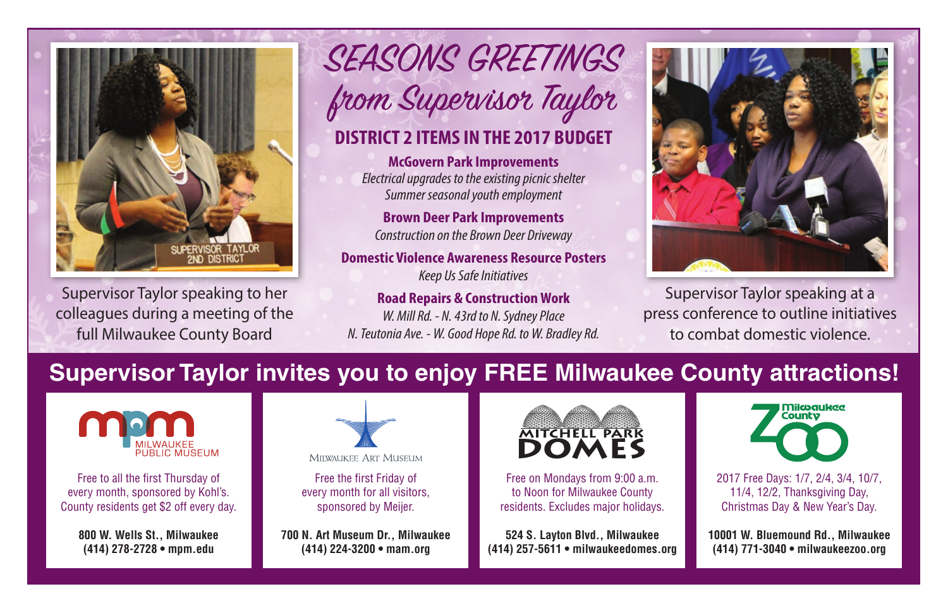

Supervisor Taylor speaking to her colleagues during a meeting of the full Milwaukee County Board

SEASONS GREETINGS from Supervisor Taylor

## **DISTRICT 2 ITEMS IN THE 2017 BUDGET**

**McGovern Park Improvements**  *Electrical upgrades to the existing picnic shelter Summer seasonal youth employment* 

**Brown Deer Park Improvements**  *Construction on the Brown Deer Driveway*

**Domestic Violence Awareness Resource Posters**  *Keep Us Safe Initiatives*

**Road Repairs & Construction Work**  *W. Mill Rd. - N. 43rd to N. Sydney Place N. Teutonia Ave. - W. Good Hope Rd. to W. Bradley Rd.*



Supervisor Taylor speaking at a press conference to outline initiatives to combat domestic violence.

## **Supervisor Taylor invites you to enjoy FREE Milwaukee County attractions!**



Free to all the first Thursday of every month, sponsored by Kohl's. County residents get \$2 off every day.

> **800 W. Wells St., Milwaukee (414) 278-2728 • mpm.edu**



MITWAUKEE ART MUSEUM

Free the first Friday of every month for all visitors, sponsored by Meijer.

**700 N. Art Museum Dr., Milwaukee (414) 224-3200 • mam.org** 



Free on Mondays from 9:00 a.m. to Noon for Milwaukee County residents. Excludes major holidays.

**524 S. Layton Blvd., Milwaukee (414) 257-5611 • milwaukeedomes.org**



2017 Free Days: 1/7, 2/4, 3/4, 10/7, 11/4, 12/2, Thanksgiving Day, Christmas Day & New Year's Day.

**10001 W. Bluemound Rd., Milwaukee (414) 771-3040 • milwaukeezoo.org**